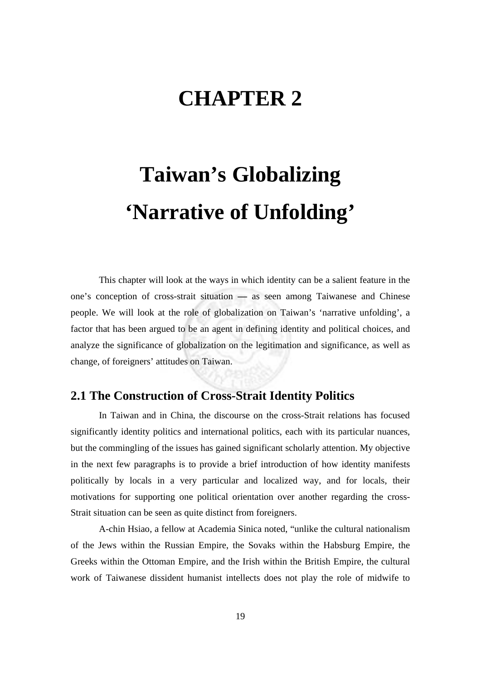## **CHAPTER 2**

# **Taiwan's Globalizing 'Narrative of Unfolding'**

 This chapter will look at the ways in which identity can be a salient feature in the one's conception of cross-strait situation **—** as seen among Taiwanese and Chinese people. We will look at the role of globalization on Taiwan's 'narrative unfolding', a factor that has been argued to be an agent in defining identity and political choices, and analyze the significance of globalization on the legitimation and significance, as well as change, of foreigners' attitudes on Taiwan.

#### **2.1 The Construction of Cross-Strait Identity Politics**

In Taiwan and in China, the discourse on the cross-Strait relations has focused significantly identity politics and international politics, each with its particular nuances, but the commingling of the issues has gained significant scholarly attention. My objective in the next few paragraphs is to provide a brief introduction of how identity manifests politically by locals in a very particular and localized way, and for locals, their motivations for supporting one political orientation over another regarding the cross-Strait situation can be seen as quite distinct from foreigners.

A-chin Hsiao, a fellow at Academia Sinica noted, "unlike the cultural nationalism of the Jews within the Russian Empire, the Sovaks within the Habsburg Empire, the Greeks within the Ottoman Empire, and the Irish within the British Empire, the cultural work of Taiwanese dissident humanist intellects does not play the role of midwife to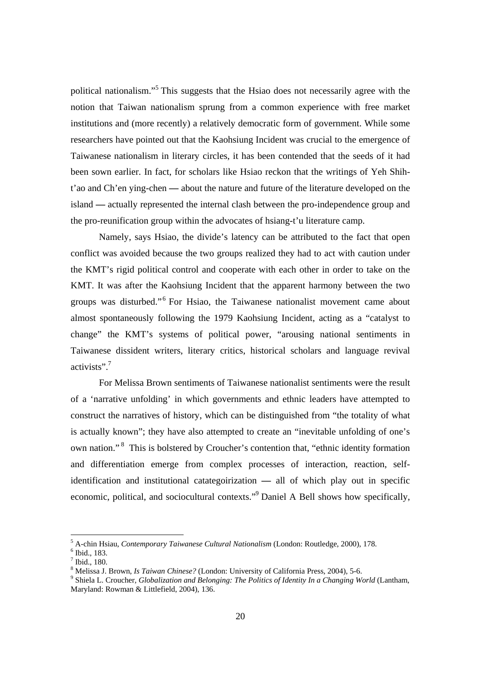political nationalism."<sup>5</sup> This suggests that the Hsiao does not necessarily agree with the notion that Taiwan nationalism sprung from a common experience with free market institutions and (more recently) a relatively democratic form of government. While some researchers have pointed out that the Kaohsiung Incident was crucial to the emergence of Taiwanese nationalism in literary circles, it has been contended that the seeds of it had been sown earlier. In fact, for scholars like Hsiao reckon that the writings of Yeh Shiht'ao and Ch'en ying-chen **—** about the nature and future of the literature developed on the island **—** actually represented the internal clash between the pro-independence group and the pro-reunification group within the advocates of hsiang-t'u literature camp.

Namely, says Hsiao, the divide's latency can be attributed to the fact that open conflict was avoided because the two groups realized they had to act with caution under the KMT's rigid political control and cooperate with each other in order to take on the KMT. It was after the Kaohsiung Incident that the apparent harmony between the two groups was disturbed."<sup>6</sup> For Hsiao, the Taiwanese nationalist movement came about almost spontaneously following the 1979 Kaohsiung Incident, acting as a "catalyst to change" the KMT's systems of political power, "arousing national sentiments in Taiwanese dissident writers, literary critics, historical scholars and language revival activists".<sup>7</sup>

For Melissa Brown sentiments of Taiwanese nationalist sentiments were the result of a 'narrative unfolding' in which governments and ethnic leaders have attempted to construct the narratives of history, which can be distinguished from "the totality of what is actually known"; they have also attempted to create an "inevitable unfolding of one's own nation." 8 This is bolstered by Croucher's contention that, "ethnic identity formation and differentiation emerge from complex processes of interaction, reaction, selfidentification and institutional catategoirization **—** all of which play out in specific economic, political, and sociocultural contexts."<sup>9</sup> Daniel A Bell shows how specifically,

<sup>&</sup>lt;sup>5</sup> A-chin Hsiau, *Contemporary Taiwanese Cultural Nationalism* (London: Routledge, 2000), 178.<br><sup>6</sup> Ibid. 182

 $<sup>6</sup>$  Ibid., 183.</sup>

 $<sup>7</sup>$  Ibid., 180.</sup>

<sup>&</sup>lt;sup>8</sup> Melissa J. Brown, *Is Taiwan Chinese?* (London: University of California Press, 2004), 5-6.<br><sup>9</sup> Shiele J. Crougher Clabelization and Pelengino: The Pelities of Identity In a Changino W.

Shiela L. Croucher*, Globalization and Belonging: The Politics of Identity In a Changing World* (Lantham, Maryland: Rowman & Littlefield, 2004), 136.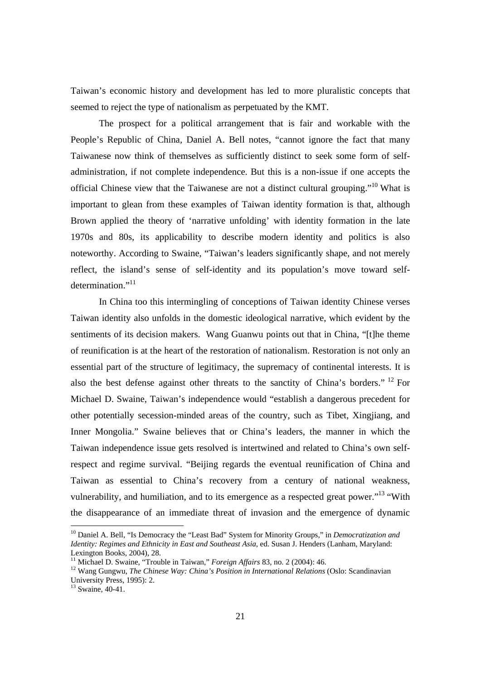Taiwan's economic history and development has led to more pluralistic concepts that seemed to reject the type of nationalism as perpetuated by the KMT.

The prospect for a political arrangement that is fair and workable with the People's Republic of China, Daniel A. Bell notes, "cannot ignore the fact that many Taiwanese now think of themselves as sufficiently distinct to seek some form of selfadministration, if not complete independence. But this is a non-issue if one accepts the official Chinese view that the Taiwanese are not a distinct cultural grouping."10 What is important to glean from these examples of Taiwan identity formation is that, although Brown applied the theory of 'narrative unfolding' with identity formation in the late 1970s and 80s, its applicability to describe modern identity and politics is also noteworthy. According to Swaine, "Taiwan's leaders significantly shape, and not merely reflect, the island's sense of self-identity and its population's move toward selfdetermination."<sup>11</sup>

In China too this intermingling of conceptions of Taiwan identity Chinese verses Taiwan identity also unfolds in the domestic ideological narrative, which evident by the sentiments of its decision makers. Wang Guanwu points out that in China, "[t]he theme of reunification is at the heart of the restoration of nationalism. Restoration is not only an essential part of the structure of legitimacy, the supremacy of continental interests. It is also the best defense against other threats to the sanctity of China's borders." 12 For Michael D. Swaine, Taiwan's independence would "establish a dangerous precedent for other potentially secession-minded areas of the country, such as Tibet, Xingjiang, and Inner Mongolia." Swaine believes that or China's leaders, the manner in which the Taiwan independence issue gets resolved is intertwined and related to China's own selfrespect and regime survival. "Beijing regards the eventual reunification of China and Taiwan as essential to China's recovery from a century of national weakness, vulnerability, and humiliation, and to its emergence as a respected great power."<sup>13</sup> "With the disappearance of an immediate threat of invasion and the emergence of dynamic

<sup>10</sup> Daniel A. Bell, "Is Democracy the "Least Bad" System for Minority Groups," in *Democratization and Identity: Regimes and Ethnicity in East and Southeast Asia*, ed. Susan J. Henders (Lanham, Maryland: Lexington Books, 2004), 28.<br><sup>11</sup> Michael D. Swaine, "Trouble in Taiwan," *Foreign Affairs* 83, no. 2 (2004): 46.

<sup>&</sup>lt;sup>12</sup> Wang Gungwu, The Chinese Way: China's Position in International Relations (Oslo: Scandinavian University Press, 1995): 2.

 $13$  Swaine, 40-41.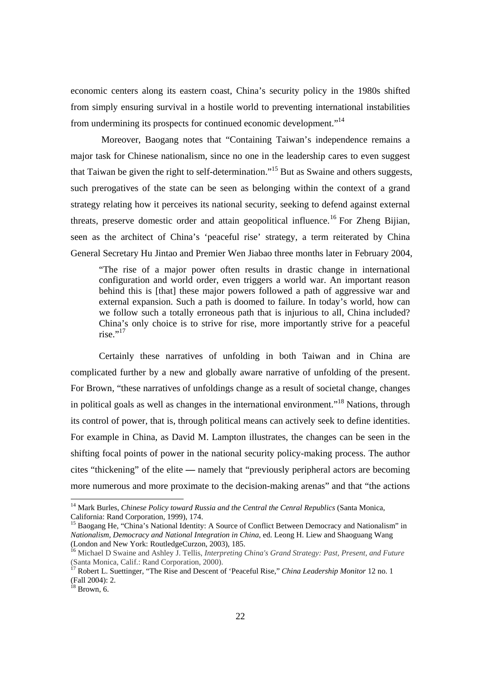economic centers along its eastern coast, China's security policy in the 1980s shifted from simply ensuring survival in a hostile world to preventing international instabilities from undermining its prospects for continued economic development."14

 Moreover, Baogang notes that "Containing Taiwan's independence remains a major task for Chinese nationalism, since no one in the leadership cares to even suggest that Taiwan be given the right to self-determination."15 But as Swaine and others suggests, such prerogatives of the state can be seen as belonging within the context of a grand strategy relating how it perceives its national security, seeking to defend against external threats, preserve domestic order and attain geopolitical influence.<sup>16</sup> For Zheng Bijian, seen as the architect of China's 'peaceful rise' strategy, a term reiterated by China General Secretary Hu Jintao and Premier Wen Jiabao three months later in February 2004,

"The rise of a major power often results in drastic change in international configuration and world order, even triggers a world war. An important reason behind this is [that] these major powers followed a path of aggressive war and external expansion. Such a path is doomed to failure. In today's world, how can we follow such a totally erroneous path that is injurious to all, China included? China's only choice is to strive for rise, more importantly strive for a peaceful  $rise.$ "17

Certainly these narratives of unfolding in both Taiwan and in China are complicated further by a new and globally aware narrative of unfolding of the present. For Brown, "these narratives of unfoldings change as a result of societal change, changes in political goals as well as changes in the international environment."18 Nations, through its control of power, that is, through political means can actively seek to define identities. For example in China, as David M. Lampton illustrates, the changes can be seen in the shifting focal points of power in the national security policy-making process. The author cites "thickening" of the elite **—** namely that "previously peripheral actors are becoming more numerous and more proximate to the decision-making arenas" and that "the actions

<sup>&</sup>lt;sup>14</sup> Mark Burles, *Chinese Policy toward Russia and the Central the Cenral Republics* (Santa Monica, California: Rand Corporation, 1999), 174.

<sup>&</sup>lt;sup>15</sup> Baogang He, "China's National Identity: A Source of Conflict Between Democracy and Nationalism" in *Nationalism, Democracy and National Integration in China*, ed. Leong H. Liew and Shaoguang Wang (London and New York: RoutledgeCurzon, 2003), 185.

<sup>16</sup> Michael D Swaine and Ashley J. Tellis, *Interpreting China's Grand Strategy: Past, Present, and Future* (Santa Monica, Calif.: Rand Corporation, 2000).

<sup>17</sup> Robert L. Suettinger, "The Rise and Descent of 'Peaceful Rise," *China Leadership Monitor* 12 no. 1 (Fall 2004): 2.

 $18$  Brown, 6.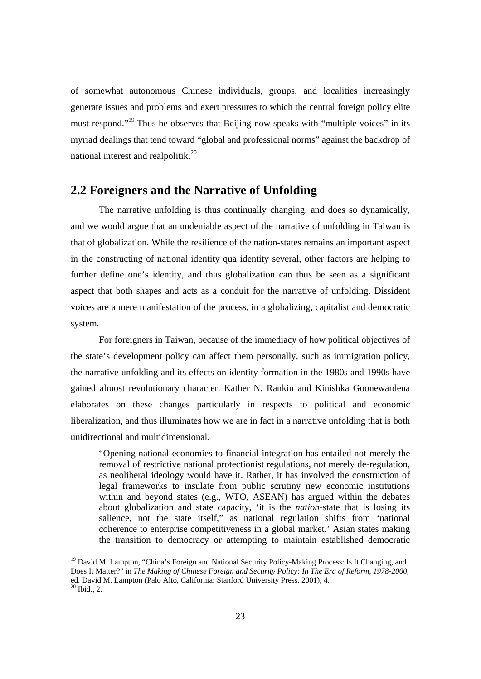of somewhat autonomous Chinese individuals, groups, and localities increasingly generate issues and problems and exert pressures to which the central foreign policy elite must respond."<sup>19</sup> Thus he observes that Beijing now speaks with "multiple voices" in its myriad dealings that tend toward "global and professional norms" against the backdrop of national interest and realpolitik.<sup>20</sup>

#### **2.2 Foreigners and the Narrative of Unfolding**

The narrative unfolding is thus continually changing, and does so dynamically, and we would argue that an undeniable aspect of the narrative of unfolding in Taiwan is that of globalization. While the resilience of the nation-states remains an important aspect in the constructing of national identity qua identity several, other factors are helping to further define one's identity, and thus globalization can thus be seen as a significant aspect that both shapes and acts as a conduit for the narrative of unfolding. Dissident voices are a mere manifestation of the process, in a globalizing, capitalist and democratic system.

For foreigners in Taiwan, because of the immediacy of how political objectives of the state's development policy can affect them personally, such as immigration policy, the narrative unfolding and its effects on identity formation in the 1980s and 1990s have gained almost revolutionary character. Kather N. Rankin and Kinishka Goonewardena elaborates on these changes particularly in respects to political and economic liberalization, and thus illuminates how we are in fact in a narrative unfolding that is both unidirectional and multidimensional.

"Opening national economies to financial integration has entailed not merely the removal of restrictive national protectionist regulations, not merely de-regulation, as neoliberal ideology would have it. Rather, it has involved the construction of legal frameworks to insulate from public scrutiny new economic institutions within and beyond states (e.g., WTO, ASEAN) has argued within the debates about globalization and state capacity, 'it is the *nation*-state that is losing its salience, not the state itself," as national regulation shifts from 'national coherence to enterprise competitiveness in a global market.' Asian states making the transition to democracy or attempting to maintain established democratic

<sup>&</sup>lt;sup>19</sup> David M. Lampton, "China's Foreign and National Security Policy-Making Process: Is It Changing, and Does It Matter?" in *The Making of Chinese Foreign and Security Policy: In The Era of Reform, 1978-2000*, ed. David M. Lampton (Palo Alto, California: Stanford University Press, 2001), 4.  $20$  Ibid., 2.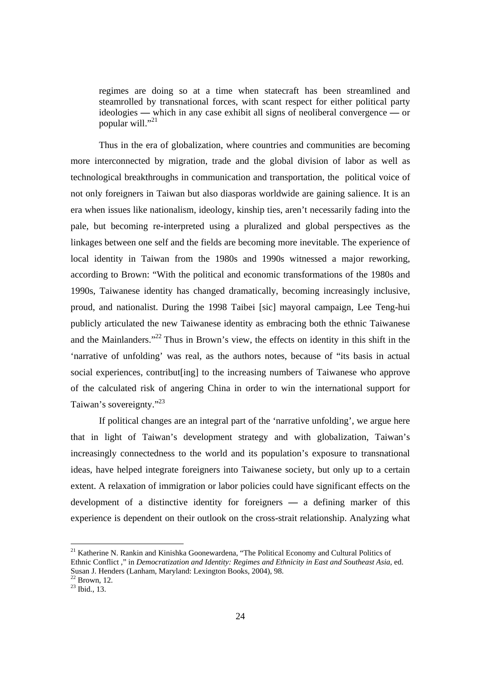regimes are doing so at a time when statecraft has been streamlined and steamrolled by transnational forces, with scant respect for either political party ideologies **—** which in any case exhibit all signs of neoliberal convergence **—** or popular will."<sup>21</sup>

Thus in the era of globalization, where countries and communities are becoming more interconnected by migration, trade and the global division of labor as well as technological breakthroughs in communication and transportation, the political voice of not only foreigners in Taiwan but also diasporas worldwide are gaining salience. It is an era when issues like nationalism, ideology, kinship ties, aren't necessarily fading into the pale, but becoming re-interpreted using a pluralized and global perspectives as the linkages between one self and the fields are becoming more inevitable. The experience of local identity in Taiwan from the 1980s and 1990s witnessed a major reworking, according to Brown: "With the political and economic transformations of the 1980s and 1990s, Taiwanese identity has changed dramatically, becoming increasingly inclusive, proud, and nationalist. During the 1998 Taibei [sic] mayoral campaign, Lee Teng-hui publicly articulated the new Taiwanese identity as embracing both the ethnic Taiwanese and the Mainlanders."<sup>22</sup> Thus in Brown's view, the effects on identity in this shift in the 'narrative of unfolding' was real, as the authors notes, because of "its basis in actual social experiences, contribut[ing] to the increasing numbers of Taiwanese who approve of the calculated risk of angering China in order to win the international support for Taiwan's sovereignty."23

If political changes are an integral part of the 'narrative unfolding', we argue here that in light of Taiwan's development strategy and with globalization, Taiwan's increasingly connectedness to the world and its population's exposure to transnational ideas, have helped integrate foreigners into Taiwanese society, but only up to a certain extent. A relaxation of immigration or labor policies could have significant effects on the development of a distinctive identity for foreigners **—** a defining marker of this experience is dependent on their outlook on the cross-strait relationship. Analyzing what

<sup>&</sup>lt;sup>21</sup> Katherine N. Rankin and Kinishka Goonewardena, "The Political Economy and Cultural Politics of Ethnic Conflict ," in *Democratization and Identity: Regimes and Ethnicity in East and Southeast Asia*, ed. Susan J. Henders (Lanham, Maryland: Lexington Books, 2004), 98.

 $22$  Brown, 12.

 $^{23}$  Ibid., 13.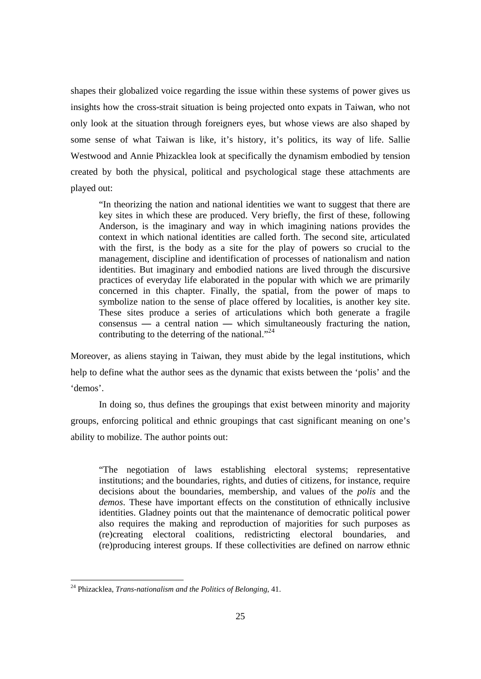shapes their globalized voice regarding the issue within these systems of power gives us insights how the cross-strait situation is being projected onto expats in Taiwan, who not only look at the situation through foreigners eyes, but whose views are also shaped by some sense of what Taiwan is like, it's history, it's politics, its way of life. Sallie Westwood and Annie Phizacklea look at specifically the dynamism embodied by tension created by both the physical, political and psychological stage these attachments are played out:

"In theorizing the nation and national identities we want to suggest that there are key sites in which these are produced. Very briefly, the first of these, following Anderson, is the imaginary and way in which imagining nations provides the context in which national identities are called forth. The second site, articulated with the first, is the body as a site for the play of powers so crucial to the management, discipline and identification of processes of nationalism and nation identities. But imaginary and embodied nations are lived through the discursive practices of everyday life elaborated in the popular with which we are primarily concerned in this chapter. Finally, the spatial, from the power of maps to symbolize nation to the sense of place offered by localities, is another key site. These sites produce a series of articulations which both generate a fragile consensus **—** a central nation **—** which simultaneously fracturing the nation, contributing to the deterring of the national. $^{324}$ 

Moreover, as aliens staying in Taiwan, they must abide by the legal institutions, which help to define what the author sees as the dynamic that exists between the 'polis' and the 'demos'.

In doing so, thus defines the groupings that exist between minority and majority groups, enforcing political and ethnic groupings that cast significant meaning on one's ability to mobilize. The author points out:

"The negotiation of laws establishing electoral systems; representative institutions; and the boundaries, rights, and duties of citizens, for instance, require decisions about the boundaries, membership, and values of the *polis* and the *demos*. These have important effects on the constitution of ethnically inclusive identities. Gladney points out that the maintenance of democratic political power also requires the making and reproduction of majorities for such purposes as (re)creating electoral coalitions, redistricting electoral boundaries, and (re)producing interest groups. If these collectivities are defined on narrow ethnic

<sup>24</sup> Phizacklea, *Trans-nationalism and the Politics of Belonging*, 41.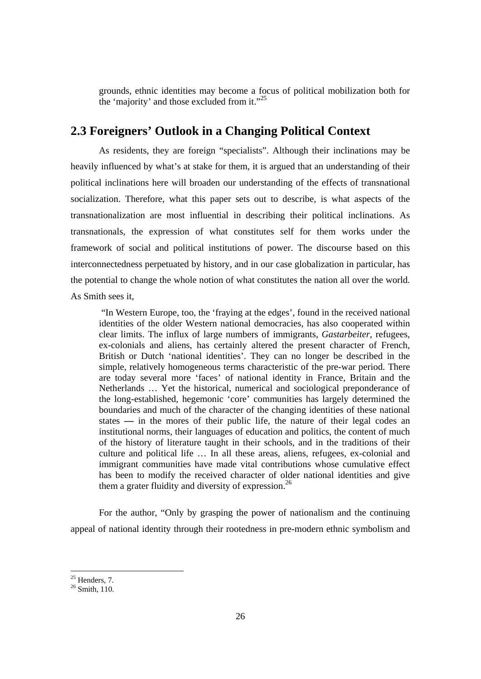grounds, ethnic identities may become a focus of political mobilization both for the 'majority' and those excluded from it."<sup>25</sup>

### **2.3 Foreigners' Outlook in a Changing Political Context**

As residents, they are foreign "specialists". Although their inclinations may be heavily influenced by what's at stake for them, it is argued that an understanding of their political inclinations here will broaden our understanding of the effects of transnational socialization. Therefore, what this paper sets out to describe, is what aspects of the transnationalization are most influential in describing their political inclinations. As transnationals, the expression of what constitutes self for them works under the framework of social and political institutions of power. The discourse based on this interconnectedness perpetuated by history, and in our case globalization in particular, has the potential to change the whole notion of what constitutes the nation all over the world. As Smith sees it,

 "In Western Europe, too, the 'fraying at the edges', found in the received national identities of the older Western national democracies, has also cooperated within clear limits. The influx of large numbers of immigrants, *Gastarbeiter*, refugees, ex-colonials and aliens, has certainly altered the present character of French, British or Dutch 'national identities'. They can no longer be described in the simple, relatively homogeneous terms characteristic of the pre-war period. There are today several more 'faces' of national identity in France, Britain and the Netherlands … Yet the historical, numerical and sociological preponderance of the long-established, hegemonic 'core' communities has largely determined the boundaries and much of the character of the changing identities of these national states **—** in the mores of their public life, the nature of their legal codes an institutional norms, their languages of education and politics, the content of much of the history of literature taught in their schools, and in the traditions of their culture and political life … In all these areas, aliens, refugees, ex-colonial and immigrant communities have made vital contributions whose cumulative effect has been to modify the received character of older national identities and give them a grater fluidity and diversity of expression.<sup>26</sup>

For the author, "Only by grasping the power of nationalism and the continuing appeal of national identity through their rootedness in pre-modern ethnic symbolism and

 $25$  Henders, 7.

<sup>&</sup>lt;sup>26</sup> Smith, 110.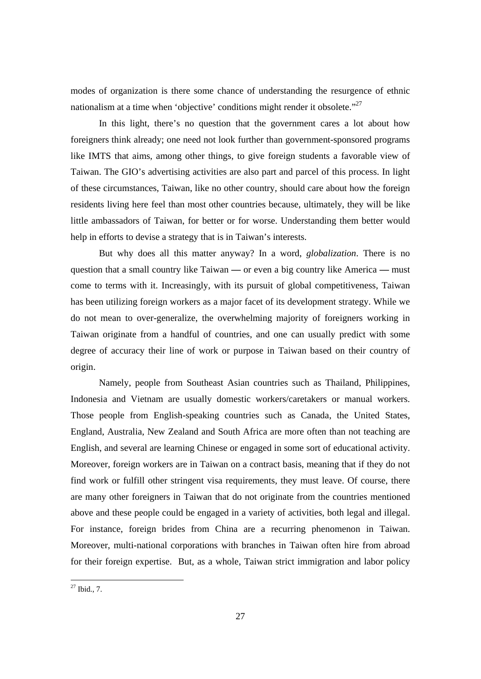modes of organization is there some chance of understanding the resurgence of ethnic nationalism at a time when 'objective' conditions might render it obsolete."<sup>27</sup>

In this light, there's no question that the government cares a lot about how foreigners think already; one need not look further than government-sponsored programs like IMTS that aims, among other things, to give foreign students a favorable view of Taiwan. The GIO's advertising activities are also part and parcel of this process. In light of these circumstances, Taiwan, like no other country, should care about how the foreign residents living here feel than most other countries because, ultimately, they will be like little ambassadors of Taiwan, for better or for worse. Understanding them better would help in efforts to devise a strategy that is in Taiwan's interests.

But why does all this matter anyway? In a word, *globalization*. There is no question that a small country like Taiwan **—** or even a big country like America **—** must come to terms with it. Increasingly, with its pursuit of global competitiveness, Taiwan has been utilizing foreign workers as a major facet of its development strategy. While we do not mean to over-generalize, the overwhelming majority of foreigners working in Taiwan originate from a handful of countries, and one can usually predict with some degree of accuracy their line of work or purpose in Taiwan based on their country of origin.

Namely, people from Southeast Asian countries such as Thailand, Philippines, Indonesia and Vietnam are usually domestic workers/caretakers or manual workers. Those people from English-speaking countries such as Canada, the United States, England, Australia, New Zealand and South Africa are more often than not teaching are English, and several are learning Chinese or engaged in some sort of educational activity. Moreover, foreign workers are in Taiwan on a contract basis, meaning that if they do not find work or fulfill other stringent visa requirements, they must leave. Of course, there are many other foreigners in Taiwan that do not originate from the countries mentioned above and these people could be engaged in a variety of activities, both legal and illegal. For instance, foreign brides from China are a recurring phenomenon in Taiwan. Moreover, multi-national corporations with branches in Taiwan often hire from abroad for their foreign expertise. But, as a whole, Taiwan strict immigration and labor policy

 $^{27}$  Ibid., 7.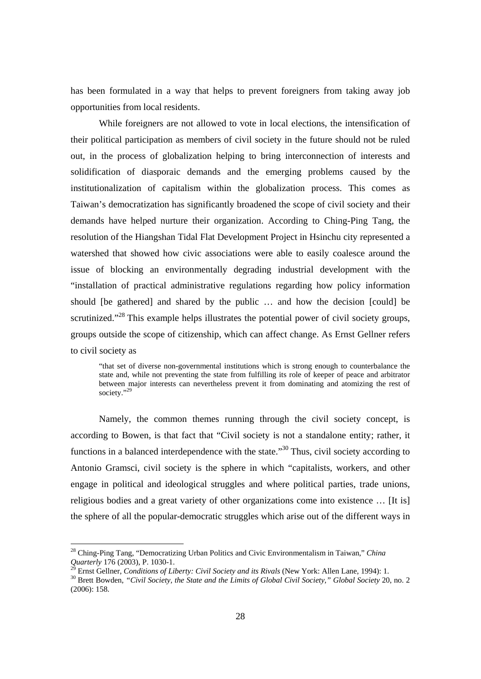has been formulated in a way that helps to prevent foreigners from taking away job opportunities from local residents.

While foreigners are not allowed to vote in local elections, the intensification of their political participation as members of civil society in the future should not be ruled out, in the process of globalization helping to bring interconnection of interests and solidification of diasporaic demands and the emerging problems caused by the institutionalization of capitalism within the globalization process. This comes as Taiwan's democratization has significantly broadened the scope of civil society and their demands have helped nurture their organization. According to Ching-Ping Tang, the resolution of the Hiangshan Tidal Flat Development Project in Hsinchu city represented a watershed that showed how civic associations were able to easily coalesce around the issue of blocking an environmentally degrading industrial development with the "installation of practical administrative regulations regarding how policy information should [be gathered] and shared by the public … and how the decision [could] be scrutinized."<sup>28</sup> This example helps illustrates the potential power of civil society groups, groups outside the scope of citizenship, which can affect change. As Ernst Gellner refers to civil society as

"that set of diverse non-governmental institutions which is strong enough to counterbalance the state and, while not preventing the state from fulfilling its role of keeper of peace and arbitrator between major interests can nevertheless prevent it from dominating and atomizing the rest of society."<sup>29</sup>

Namely, the common themes running through the civil society concept, is according to Bowen, is that fact that "Civil society is not a standalone entity; rather, it functions in a balanced interdependence with the state."<sup>30</sup> Thus, civil society according to Antonio Gramsci, civil society is the sphere in which "capitalists, workers, and other engage in political and ideological struggles and where political parties, trade unions, religious bodies and a great variety of other organizations come into existence … [It is] the sphere of all the popular-democratic struggles which arise out of the different ways in

<sup>28</sup> Ching-Ping Tang, "Democratizing Urban Politics and Civic Environmentalism in Taiwan," *China Quarterly* 176 (2003), P. 1030-1.<br><sup>29</sup> Ernst Gellner, *Conditions of Liberty: Civil Society and its Rivals* (New York: Allen Lane, 1994): 1.<br><sup>30</sup> Brett Bowden, "*Civil Society, the State and the Limits of Global Civil So* 

<sup>(2006): 158.</sup>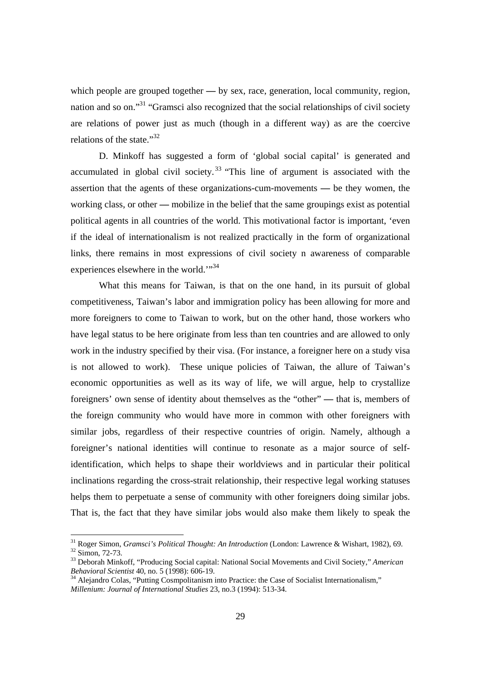which people are grouped together — by sex, race, generation, local community, region, nation and so on."31 "Gramsci also recognized that the social relationships of civil society are relations of power just as much (though in a different way) as are the coercive relations of the state."<sup>32</sup>

D. Minkoff has suggested a form of 'global social capital' is generated and accumulated in global civil society.<sup>33</sup> "This line of argument is associated with the assertion that the agents of these organizations-cum-movements **—** be they women, the working class, or other **—** mobilize in the belief that the same groupings exist as potential political agents in all countries of the world. This motivational factor is important, 'even if the ideal of internationalism is not realized practically in the form of organizational links, there remains in most expressions of civil society n awareness of comparable experiences elsewhere in the world."<sup>34</sup>

What this means for Taiwan, is that on the one hand, in its pursuit of global competitiveness, Taiwan's labor and immigration policy has been allowing for more and more foreigners to come to Taiwan to work, but on the other hand, those workers who have legal status to be here originate from less than ten countries and are allowed to only work in the industry specified by their visa. (For instance, a foreigner here on a study visa is not allowed to work). These unique policies of Taiwan, the allure of Taiwan's economic opportunities as well as its way of life, we will argue, help to crystallize foreigners' own sense of identity about themselves as the "other" **—** that is, members of the foreign community who would have more in common with other foreigners with similar jobs, regardless of their respective countries of origin. Namely, although a foreigner's national identities will continue to resonate as a major source of selfidentification, which helps to shape their worldviews and in particular their political inclinations regarding the cross-strait relationship, their respective legal working statuses helps them to perpetuate a sense of community with other foreigners doing similar jobs. That is, the fact that they have similar jobs would also make them likely to speak the

<sup>&</sup>lt;sup>31</sup> Roger Simon, *Gramsci's Political Thought: An Introduction* (London: Lawrence & Wishart, 1982), 69.  $^{32}$  Simon, 72-73.

<sup>&</sup>lt;sup>33</sup> Deborah Minkoff, "Producing Social capital: National Social Movements and Civil Society," American Behavioral Scientist 40, no. 5 (1998): 606-19.

<sup>&</sup>lt;sup>34</sup> Alejandro Colas, "Putting Cosmpolitanism into Practice: the Case of Socialist Internationalism," *Millenium: Journal of International Studies* 23, no.3 (1994): 513-34.